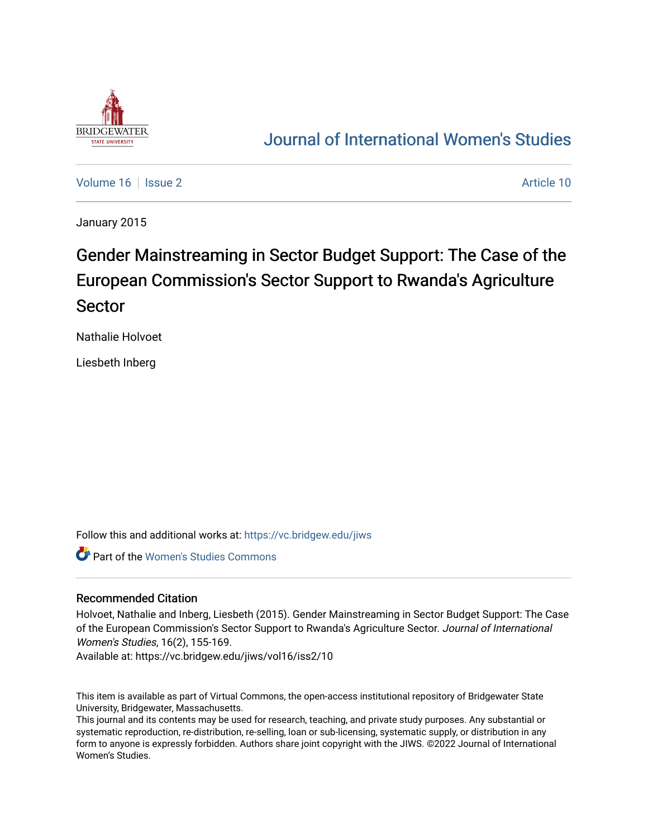

## [Journal of International Women's Studies](https://vc.bridgew.edu/jiws)

[Volume 16](https://vc.bridgew.edu/jiws/vol16) September 2 Article 10

January 2015

# Gender Mainstreaming in Sector Budget Support: The Case of the European Commission's Sector Support to Rwanda's Agriculture Sector

Nathalie Holvoet

Liesbeth Inberg

Follow this and additional works at: [https://vc.bridgew.edu/jiws](https://vc.bridgew.edu/jiws?utm_source=vc.bridgew.edu%2Fjiws%2Fvol16%2Fiss2%2F10&utm_medium=PDF&utm_campaign=PDFCoverPages)

Part of the [Women's Studies Commons](http://network.bepress.com/hgg/discipline/561?utm_source=vc.bridgew.edu%2Fjiws%2Fvol16%2Fiss2%2F10&utm_medium=PDF&utm_campaign=PDFCoverPages) 

#### Recommended Citation

Holvoet, Nathalie and Inberg, Liesbeth (2015). Gender Mainstreaming in Sector Budget Support: The Case of the European Commission's Sector Support to Rwanda's Agriculture Sector. Journal of International Women's Studies, 16(2), 155-169.

Available at: https://vc.bridgew.edu/jiws/vol16/iss2/10

This item is available as part of Virtual Commons, the open-access institutional repository of Bridgewater State University, Bridgewater, Massachusetts.

This journal and its contents may be used for research, teaching, and private study purposes. Any substantial or systematic reproduction, re-distribution, re-selling, loan or sub-licensing, systematic supply, or distribution in any form to anyone is expressly forbidden. Authors share joint copyright with the JIWS. ©2022 Journal of International Women's Studies.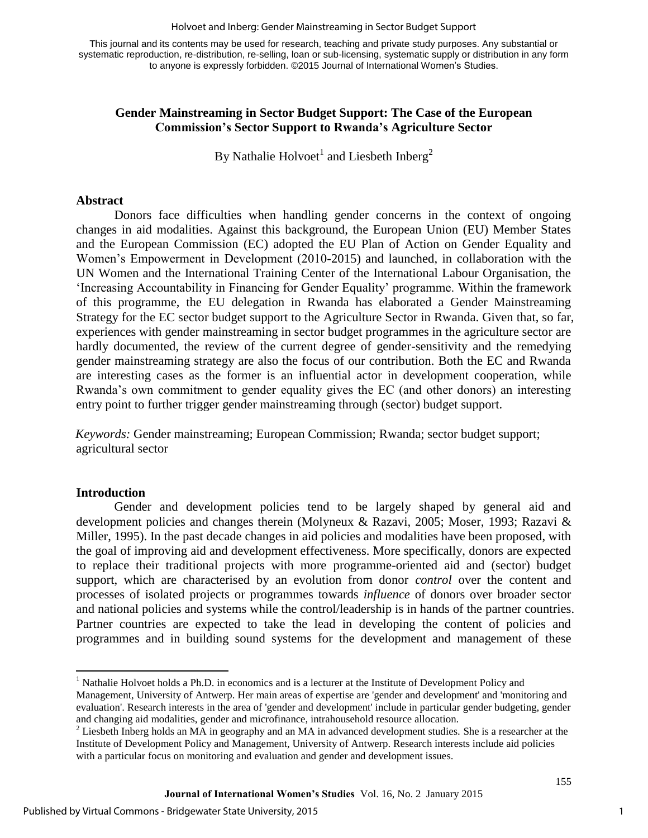#### Holvoet and Inberg: Gender Mainstreaming in Sector Budget Support

This journal and its contents may be used for research, teaching and private study purposes. Any substantial or systematic reproduction, re-distribution, re-selling, loan or sub-licensing, systematic supply or distribution in any form to anyone is expressly forbidden. ©2015 Journal of International Women's Studies.

#### **Gender Mainstreaming in Sector Budget Support: The Case of the European Commission's Sector Support to Rwanda's Agriculture Sector**

By Nathalie Holvoet<sup>1</sup> and Liesbeth Inberg<sup>2</sup>

#### **Abstract**

Donors face difficulties when handling gender concerns in the context of ongoing changes in aid modalities. Against this background, the European Union (EU) Member States and the European Commission (EC) adopted the EU Plan of Action on Gender Equality and Women's Empowerment in Development (2010-2015) and launched, in collaboration with the UN Women and the International Training Center of the International Labour Organisation, the 'Increasing Accountability in Financing for Gender Equality' programme. Within the framework of this programme, the EU delegation in Rwanda has elaborated a Gender Mainstreaming Strategy for the EC sector budget support to the Agriculture Sector in Rwanda. Given that, so far, experiences with gender mainstreaming in sector budget programmes in the agriculture sector are hardly documented, the review of the current degree of gender-sensitivity and the remedying gender mainstreaming strategy are also the focus of our contribution. Both the EC and Rwanda are interesting cases as the former is an influential actor in development cooperation, while Rwanda's own commitment to gender equality gives the EC (and other donors) an interesting entry point to further trigger gender mainstreaming through (sector) budget support.

*Keywords:* Gender mainstreaming; European Commission; Rwanda; sector budget support; agricultural sector

#### **Introduction**

 $\overline{\phantom{a}}$ 

Gender and development policies tend to be largely shaped by general aid and development policies and changes therein (Molyneux & Razavi, 2005; Moser, 1993; Razavi & Miller, 1995). In the past decade changes in aid policies and modalities have been proposed, with the goal of improving aid and development effectiveness. More specifically, donors are expected to replace their traditional projects with more programme-oriented aid and (sector) budget support, which are characterised by an evolution from donor *control* over the content and processes of isolated projects or programmes towards *influence* of donors over broader sector and national policies and systems while the control/leadership is in hands of the partner countries. Partner countries are expected to take the lead in developing the content of policies and programmes and in building sound systems for the development and management of these

<sup>&</sup>lt;sup>1</sup> Nathalie Holvoet holds a Ph.D. in economics and is a lecturer at the Institute of Development Policy and

Management, University of Antwerp. Her main areas of expertise are 'gender and development' and 'monitoring and evaluation'. Research interests in the area of 'gender and development' include in particular gender budgeting, gender and changing aid modalities, gender and microfinance, intrahousehold resource allocation.

 $2$  Liesbeth Inberg holds an MA in geography and an MA in advanced development studies. She is a researcher at the Institute of Development Policy and Management, University of Antwerp. Research interests include aid policies with a particular focus on monitoring and evaluation and gender and development issues.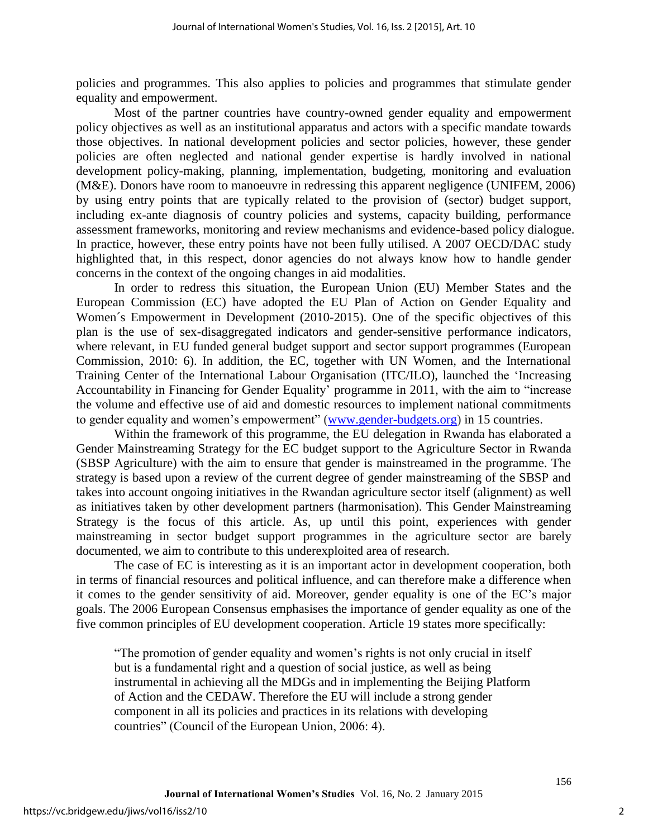policies and programmes. This also applies to policies and programmes that stimulate gender equality and empowerment.

Most of the partner countries have country-owned gender equality and empowerment policy objectives as well as an institutional apparatus and actors with a specific mandate towards those objectives. In national development policies and sector policies, however, these gender policies are often neglected and national gender expertise is hardly involved in national development policy-making, planning, implementation, budgeting, monitoring and evaluation (M&E). Donors have room to manoeuvre in redressing this apparent negligence (UNIFEM, 2006) by using entry points that are typically related to the provision of (sector) budget support, including ex-ante diagnosis of country policies and systems, capacity building, performance assessment frameworks, monitoring and review mechanisms and evidence-based policy dialogue. In practice, however, these entry points have not been fully utilised. A 2007 OECD/DAC study highlighted that, in this respect, donor agencies do not always know how to handle gender concerns in the context of the ongoing changes in aid modalities.

In order to redress this situation, the European Union (EU) Member States and the European Commission (EC) have adopted the EU Plan of Action on Gender Equality and Women´s Empowerment in Development (2010-2015). One of the specific objectives of this plan is the use of sex-disaggregated indicators and gender-sensitive performance indicators, where relevant, in EU funded general budget support and sector support programmes (European Commission, 2010: 6). In addition, the EC, together with UN Women, and the International Training Center of the International Labour Organisation (ITC/ILO), launched the 'Increasing Accountability in Financing for Gender Equality' programme in 2011, with the aim to "increase the volume and effective use of aid and domestic resources to implement national commitments to gender equality and women's empowerment" [\(www.gender-budgets.org\)](http://www.gender-budgets.org/) in 15 countries.

Within the framework of this programme, the EU delegation in Rwanda has elaborated a Gender Mainstreaming Strategy for the EC budget support to the Agriculture Sector in Rwanda (SBSP Agriculture) with the aim to ensure that gender is mainstreamed in the programme. The strategy is based upon a review of the current degree of gender mainstreaming of the SBSP and takes into account ongoing initiatives in the Rwandan agriculture sector itself (alignment) as well as initiatives taken by other development partners (harmonisation). This Gender Mainstreaming Strategy is the focus of this article. As, up until this point, experiences with gender mainstreaming in sector budget support programmes in the agriculture sector are barely documented, we aim to contribute to this underexploited area of research.

The case of EC is interesting as it is an important actor in development cooperation, both in terms of financial resources and political influence, and can therefore make a difference when it comes to the gender sensitivity of aid. Moreover, gender equality is one of the EC's major goals. The 2006 European Consensus emphasises the importance of gender equality as one of the five common principles of EU development cooperation. Article 19 states more specifically:

"The promotion of gender equality and women's rights is not only crucial in itself but is a fundamental right and a question of social justice, as well as being instrumental in achieving all the MDGs and in implementing the Beijing Platform of Action and the CEDAW. Therefore the EU will include a strong gender component in all its policies and practices in its relations with developing countries" (Council of the European Union, 2006: 4).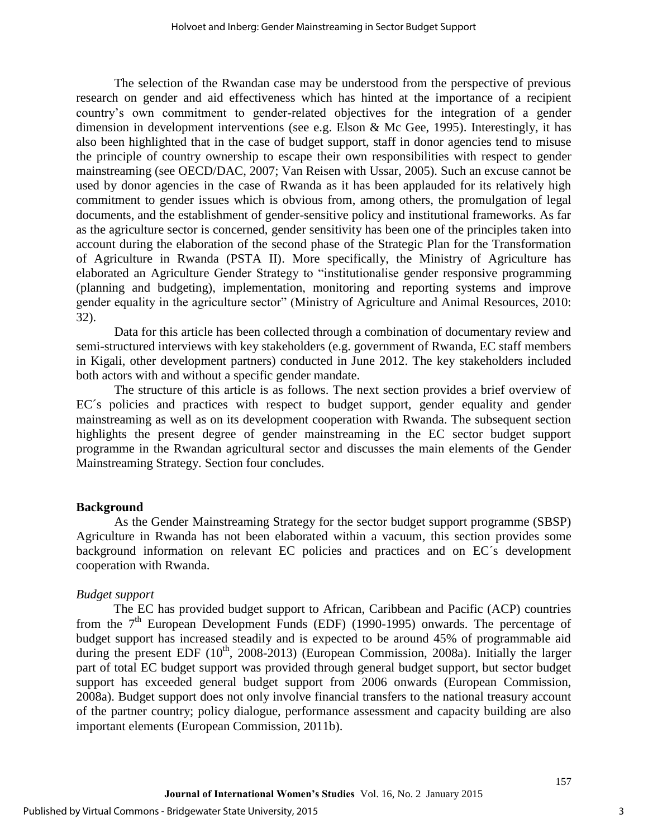The selection of the Rwandan case may be understood from the perspective of previous research on gender and aid effectiveness which has hinted at the importance of a recipient country's own commitment to gender-related objectives for the integration of a gender dimension in development interventions (see e.g. Elson & Mc Gee, 1995). Interestingly, it has also been highlighted that in the case of budget support, staff in donor agencies tend to misuse the principle of country ownership to escape their own responsibilities with respect to gender mainstreaming (see OECD/DAC, 2007; Van Reisen with Ussar, 2005). Such an excuse cannot be used by donor agencies in the case of Rwanda as it has been applauded for its relatively high commitment to gender issues which is obvious from, among others, the promulgation of legal documents, and the establishment of gender-sensitive policy and institutional frameworks. As far as the agriculture sector is concerned, gender sensitivity has been one of the principles taken into account during the elaboration of the second phase of the Strategic Plan for the Transformation of Agriculture in Rwanda (PSTA II). More specifically, the Ministry of Agriculture has elaborated an Agriculture Gender Strategy to "institutionalise gender responsive programming (planning and budgeting), implementation, monitoring and reporting systems and improve gender equality in the agriculture sector" (Ministry of Agriculture and Animal Resources, 2010: 32).

Data for this article has been collected through a combination of documentary review and semi-structured interviews with key stakeholders (e.g. government of Rwanda, EC staff members in Kigali, other development partners) conducted in June 2012. The key stakeholders included both actors with and without a specific gender mandate.

The structure of this article is as follows. The next section provides a brief overview of EC´s policies and practices with respect to budget support, gender equality and gender mainstreaming as well as on its development cooperation with Rwanda. The subsequent section highlights the present degree of gender mainstreaming in the EC sector budget support programme in the Rwandan agricultural sector and discusses the main elements of the Gender Mainstreaming Strategy. Section four concludes.

#### **Background**

As the Gender Mainstreaming Strategy for the sector budget support programme (SBSP) Agriculture in Rwanda has not been elaborated within a vacuum, this section provides some background information on relevant EC policies and practices and on EC´s development cooperation with Rwanda.

#### *Budget support*

The EC has provided budget support to African, Caribbean and Pacific (ACP) countries from the  $7<sup>th</sup>$  European Development Funds (EDF) (1990-1995) onwards. The percentage of budget support has increased steadily and is expected to be around 45% of programmable aid during the present EDF  $(10^{th}, 2008-2013)$  (European Commission, 2008a). Initially the larger part of total EC budget support was provided through general budget support, but sector budget support has exceeded general budget support from 2006 onwards (European Commission, 2008a). Budget support does not only involve financial transfers to the national treasury account of the partner country; policy dialogue, performance assessment and capacity building are also important elements (European Commission, 2011b).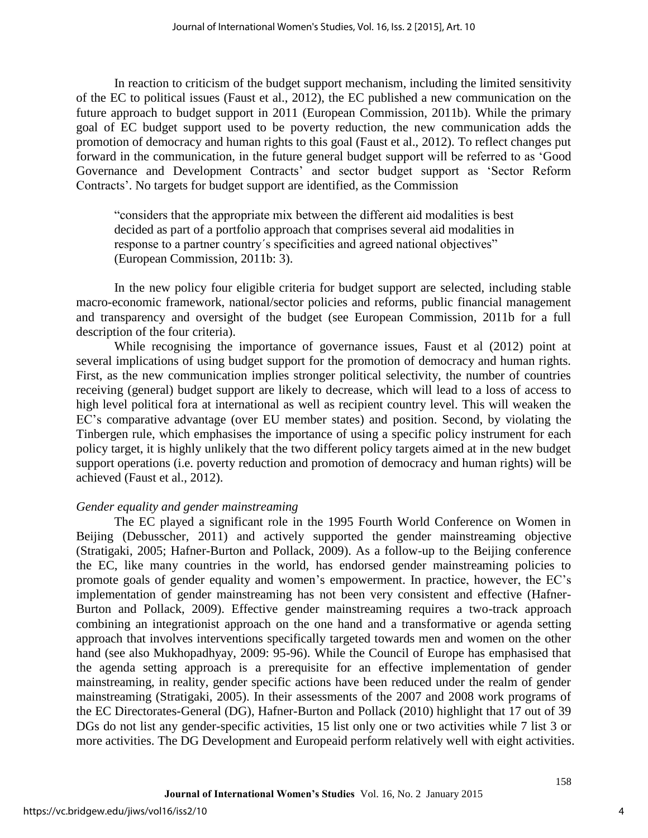In reaction to criticism of the budget support mechanism, including the limited sensitivity of the EC to political issues (Faust et al., 2012), the EC published a new communication on the future approach to budget support in 2011 (European Commission, 2011b). While the primary goal of EC budget support used to be poverty reduction, the new communication adds the promotion of democracy and human rights to this goal (Faust et al., 2012). To reflect changes put forward in the communication, in the future general budget support will be referred to as 'Good Governance and Development Contracts' and sector budget support as 'Sector Reform Contracts'. No targets for budget support are identified, as the Commission

"considers that the appropriate mix between the different aid modalities is best decided as part of a portfolio approach that comprises several aid modalities in response to a partner country´s specificities and agreed national objectives" (European Commission, 2011b: 3).

In the new policy four eligible criteria for budget support are selected, including stable macro-economic framework, national/sector policies and reforms, public financial management and transparency and oversight of the budget (see European Commission, 2011b for a full description of the four criteria).

While recognising the importance of governance issues, Faust et al (2012) point at several implications of using budget support for the promotion of democracy and human rights. First, as the new communication implies stronger political selectivity, the number of countries receiving (general) budget support are likely to decrease, which will lead to a loss of access to high level political fora at international as well as recipient country level. This will weaken the EC's comparative advantage (over EU member states) and position. Second, by violating the Tinbergen rule, which emphasises the importance of using a specific policy instrument for each policy target, it is highly unlikely that the two different policy targets aimed at in the new budget support operations (i.e. poverty reduction and promotion of democracy and human rights) will be achieved (Faust et al., 2012).

#### *Gender equality and gender mainstreaming*

The EC played a significant role in the 1995 Fourth World Conference on Women in Beijing (Debusscher, 2011) and actively supported the gender mainstreaming objective (Stratigaki, 2005; Hafner-Burton and Pollack, 2009). As a follow-up to the Beijing conference the EC, like many countries in the world, has endorsed gender mainstreaming policies to promote goals of gender equality and women's empowerment. In practice, however, the EC's implementation of gender mainstreaming has not been very consistent and effective (Hafner-Burton and Pollack, 2009). Effective gender mainstreaming requires a two-track approach combining an integrationist approach on the one hand and a transformative or agenda setting approach that involves interventions specifically targeted towards men and women on the other hand (see also Mukhopadhyay, 2009: 95-96). While the Council of Europe has emphasised that the agenda setting approach is a prerequisite for an effective implementation of gender mainstreaming, in reality, gender specific actions have been reduced under the realm of gender mainstreaming (Stratigaki, 2005). In their assessments of the 2007 and 2008 work programs of the EC Directorates-General (DG), Hafner-Burton and Pollack (2010) highlight that 17 out of 39 DGs do not list any gender-specific activities, 15 list only one or two activities while 7 list 3 or more activities. The DG Development and Europeaid perform relatively well with eight activities.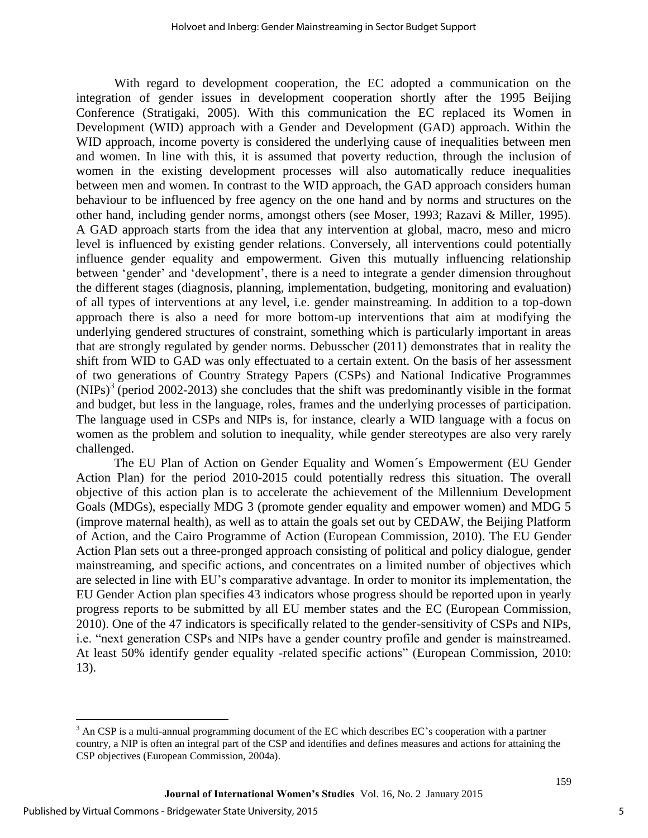With regard to development cooperation, the EC adopted a communication on the integration of gender issues in development cooperation shortly after the 1995 Beijing Conference (Stratigaki, 2005). With this communication the EC replaced its Women in Development (WID) approach with a Gender and Development (GAD) approach. Within the WID approach, income poverty is considered the underlying cause of inequalities between men and women. In line with this, it is assumed that poverty reduction, through the inclusion of women in the existing development processes will also automatically reduce inequalities between men and women. In contrast to the WID approach, the GAD approach considers human behaviour to be influenced by free agency on the one hand and by norms and structures on the other hand, including gender norms, amongst others (see Moser, 1993; Razavi & Miller, 1995). A GAD approach starts from the idea that any intervention at global, macro, meso and micro level is influenced by existing gender relations. Conversely, all interventions could potentially influence gender equality and empowerment. Given this mutually influencing relationship between 'gender' and 'development', there is a need to integrate a gender dimension throughout the different stages (diagnosis, planning, implementation, budgeting, monitoring and evaluation) of all types of interventions at any level, i.e. gender mainstreaming. In addition to a top-down approach there is also a need for more bottom-up interventions that aim at modifying the underlying gendered structures of constraint, something which is particularly important in areas that are strongly regulated by gender norms. Debusscher (2011) demonstrates that in reality the shift from WID to GAD was only effectuated to a certain extent. On the basis of her assessment of two generations of Country Strategy Papers (CSPs) and National Indicative Programmes  $(NIPS)^3$  (period 2002-2013) she concludes that the shift was predominantly visible in the format and budget, but less in the language, roles, frames and the underlying processes of participation. The language used in CSPs and NIPs is, for instance, clearly a WID language with a focus on women as the problem and solution to inequality, while gender stereotypes are also very rarely challenged.

The EU Plan of Action on Gender Equality and Women´s Empowerment (EU Gender Action Plan) for the period 2010-2015 could potentially redress this situation. The overall objective of this action plan is to accelerate the achievement of the Millennium Development Goals (MDGs), especially MDG 3 (promote gender equality and empower women) and MDG 5 (improve maternal health), as well as to attain the goals set out by CEDAW, the Beijing Platform of Action, and the Cairo Programme of Action (European Commission, 2010). The EU Gender Action Plan sets out a three-pronged approach consisting of political and policy dialogue, gender mainstreaming, and specific actions, and concentrates on a limited number of objectives which are selected in line with EU's comparative advantage. In order to monitor its implementation, the EU Gender Action plan specifies 43 indicators whose progress should be reported upon in yearly progress reports to be submitted by all EU member states and the EC (European Commission, 2010). One of the 47 indicators is specifically related to the gender-sensitivity of CSPs and NIPs, i.e. "next generation CSPs and NIPs have a gender country profile and gender is mainstreamed. At least 50% identify gender equality -related specific actions" (European Commission, 2010: 13).

 $\overline{\phantom{a}}$ 

5

<sup>&</sup>lt;sup>3</sup> An CSP is a multi-annual programming document of the EC which describes EC's cooperation with a partner country, a NIP is often an integral part of the CSP and identifies and defines measures and actions for attaining the CSP objectives (European Commission, 2004a).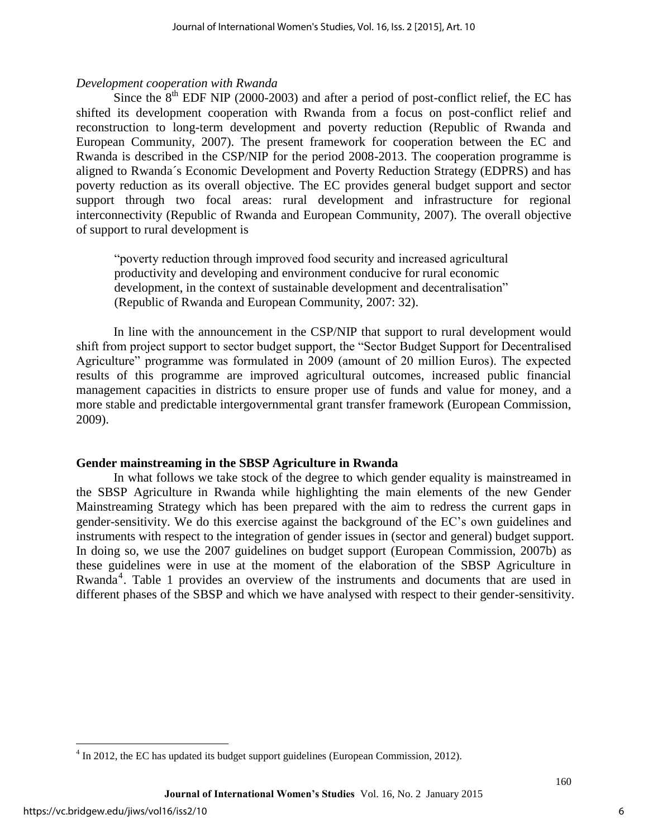#### *Development cooperation with Rwanda*

Since the  $8<sup>th</sup>$  EDF NIP (2000-2003) and after a period of post-conflict relief, the EC has shifted its development cooperation with Rwanda from a focus on post-conflict relief and reconstruction to long-term development and poverty reduction (Republic of Rwanda and European Community, 2007). The present framework for cooperation between the EC and Rwanda is described in the CSP/NIP for the period 2008-2013. The cooperation programme is aligned to Rwanda´s Economic Development and Poverty Reduction Strategy (EDPRS) and has poverty reduction as its overall objective. The EC provides general budget support and sector support through two focal areas: rural development and infrastructure for regional interconnectivity (Republic of Rwanda and European Community, 2007). The overall objective of support to rural development is

"poverty reduction through improved food security and increased agricultural productivity and developing and environment conducive for rural economic development, in the context of sustainable development and decentralisation" (Republic of Rwanda and European Community, 2007: 32).

In line with the announcement in the CSP/NIP that support to rural development would shift from project support to sector budget support, the "Sector Budget Support for Decentralised Agriculture" programme was formulated in 2009 (amount of 20 million Euros). The expected results of this programme are improved agricultural outcomes, increased public financial management capacities in districts to ensure proper use of funds and value for money, and a more stable and predictable intergovernmental grant transfer framework (European Commission, 2009).

#### **Gender mainstreaming in the SBSP Agriculture in Rwanda**

In what follows we take stock of the degree to which gender equality is mainstreamed in the SBSP Agriculture in Rwanda while highlighting the main elements of the new Gender Mainstreaming Strategy which has been prepared with the aim to redress the current gaps in gender-sensitivity. We do this exercise against the background of the EC's own guidelines and instruments with respect to the integration of gender issues in (sector and general) budget support. In doing so, we use the 2007 guidelines on budget support (European Commission, 2007b) as these guidelines were in use at the moment of the elaboration of the SBSP Agriculture in Rwanda<sup>4</sup>. Table 1 provides an overview of the instruments and documents that are used in different phases of the SBSP and which we have analysed with respect to their gender-sensitivity.

<sup>&</sup>lt;sup>4</sup> In 2012, the EC has updated its budget support guidelines (European Commission, 2012).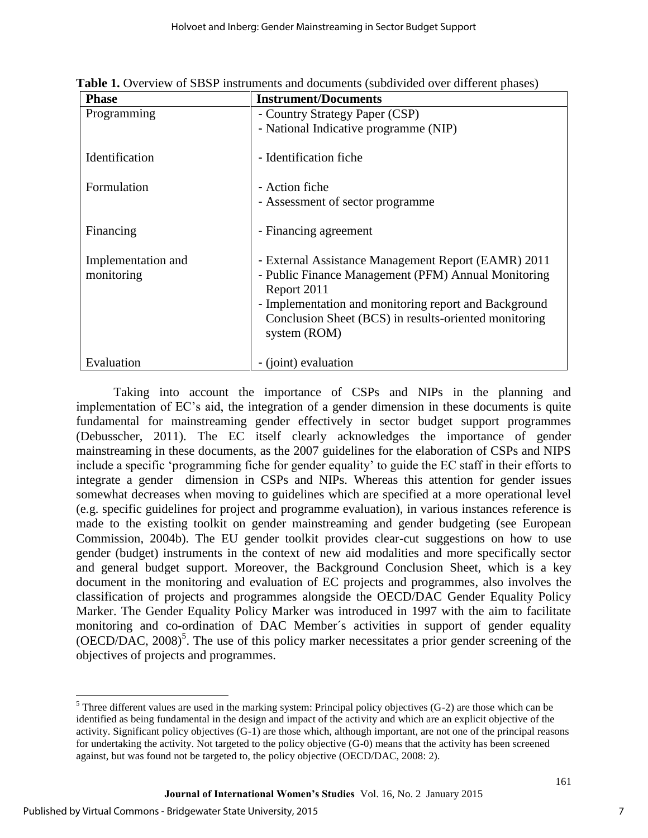| <b>Phase</b>                     | <b>Instrument/Documents</b>                                                                                               |
|----------------------------------|---------------------------------------------------------------------------------------------------------------------------|
| Programming                      | - Country Strategy Paper (CSP)                                                                                            |
|                                  | - National Indicative programme (NIP)                                                                                     |
| Identification                   | - Identification fiche                                                                                                    |
| Formulation                      | - Action fiche                                                                                                            |
|                                  | - Assessment of sector programme                                                                                          |
| Financing                        | - Financing agreement                                                                                                     |
| Implementation and<br>monitoring | - External Assistance Management Report (EAMR) 2011<br>- Public Finance Management (PFM) Annual Monitoring<br>Report 2011 |
|                                  | - Implementation and monitoring report and Background                                                                     |
|                                  | Conclusion Sheet (BCS) in results-oriented monitoring<br>system (ROM)                                                     |
|                                  |                                                                                                                           |
| Evaluation                       | - (joint) evaluation                                                                                                      |

**Table 1.** Overview of SBSP instruments and documents (subdivided over different phases)

Taking into account the importance of CSPs and NIPs in the planning and implementation of EC's aid, the integration of a gender dimension in these documents is quite fundamental for mainstreaming gender effectively in sector budget support programmes (Debusscher, 2011). The EC itself clearly acknowledges the importance of gender mainstreaming in these documents, as the 2007 guidelines for the elaboration of CSPs and NIPS include a specific 'programming fiche for gender equality' to guide the EC staff in their efforts to integrate a gender dimension in CSPs and NIPs. Whereas this attention for gender issues somewhat decreases when moving to guidelines which are specified at a more operational level (e.g. specific guidelines for project and programme evaluation), in various instances reference is made to the existing toolkit on gender mainstreaming and gender budgeting (see European Commission, 2004b). The EU gender toolkit provides clear-cut suggestions on how to use gender (budget) instruments in the context of new aid modalities and more specifically sector and general budget support. Moreover, the Background Conclusion Sheet, which is a key document in the monitoring and evaluation of EC projects and programmes, also involves the classification of projects and programmes alongside the OECD/DAC Gender Equality Policy Marker. The Gender Equality Policy Marker was introduced in 1997 with the aim to facilitate monitoring and co-ordination of DAC Member´s activities in support of gender equality  $(OECD/DAC, 2008)^5$ . The use of this policy marker necessitates a prior gender screening of the objectives of projects and programmes.

 $\overline{a}$ <sup>5</sup> Three different values are used in the marking system: Principal policy objectives (G-2) are those which can be identified as being fundamental in the design and impact of the activity and which are an explicit objective of the activity. Significant policy objectives (G-1) are those which, although important, are not one of the principal reasons for undertaking the activity. Not targeted to the policy objective (G-0) means that the activity has been screened against, but was found not be targeted to, the policy objective (OECD/DAC, 2008: 2).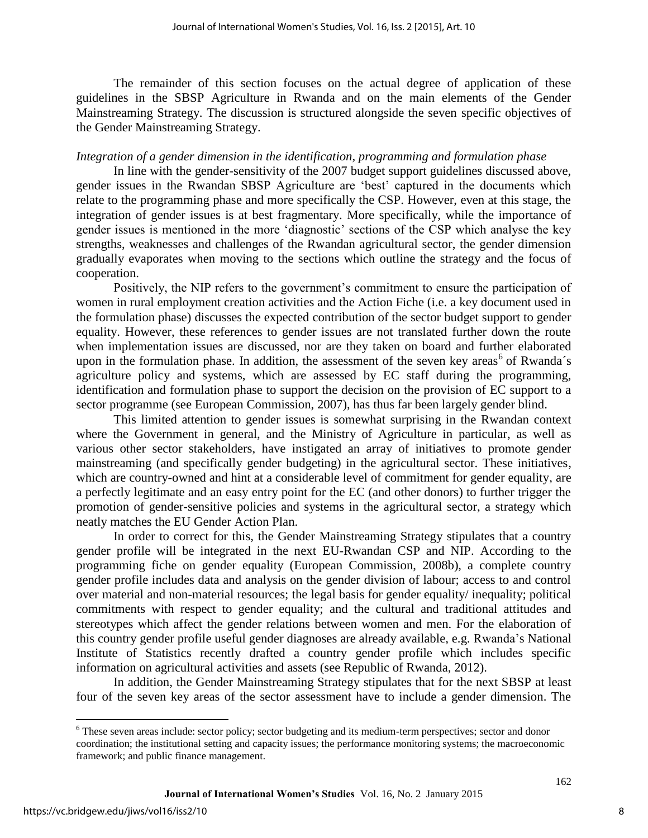The remainder of this section focuses on the actual degree of application of these guidelines in the SBSP Agriculture in Rwanda and on the main elements of the Gender Mainstreaming Strategy. The discussion is structured alongside the seven specific objectives of the Gender Mainstreaming Strategy.

#### *Integration of a gender dimension in the identification, programming and formulation phase*

In line with the gender-sensitivity of the 2007 budget support guidelines discussed above, gender issues in the Rwandan SBSP Agriculture are 'best' captured in the documents which relate to the programming phase and more specifically the CSP. However, even at this stage, the integration of gender issues is at best fragmentary. More specifically, while the importance of gender issues is mentioned in the more 'diagnostic' sections of the CSP which analyse the key strengths, weaknesses and challenges of the Rwandan agricultural sector, the gender dimension gradually evaporates when moving to the sections which outline the strategy and the focus of cooperation.

Positively, the NIP refers to the government's commitment to ensure the participation of women in rural employment creation activities and the Action Fiche (i.e. a key document used in the formulation phase) discusses the expected contribution of the sector budget support to gender equality. However, these references to gender issues are not translated further down the route when implementation issues are discussed, nor are they taken on board and further elaborated upon in the formulation phase. In addition, the assessment of the seven key areas<sup>6</sup> of Rwanda's agriculture policy and systems, which are assessed by EC staff during the programming, identification and formulation phase to support the decision on the provision of EC support to a sector programme (see European Commission, 2007), has thus far been largely gender blind.

This limited attention to gender issues is somewhat surprising in the Rwandan context where the Government in general, and the Ministry of Agriculture in particular, as well as various other sector stakeholders, have instigated an array of initiatives to promote gender mainstreaming (and specifically gender budgeting) in the agricultural sector. These initiatives, which are country-owned and hint at a considerable level of commitment for gender equality, are a perfectly legitimate and an easy entry point for the EC (and other donors) to further trigger the promotion of gender-sensitive policies and systems in the agricultural sector, a strategy which neatly matches the EU Gender Action Plan.

In order to correct for this, the Gender Mainstreaming Strategy stipulates that a country gender profile will be integrated in the next EU-Rwandan CSP and NIP. According to the programming fiche on gender equality (European Commission, 2008b), a complete country gender profile includes data and analysis on the gender division of labour; access to and control over material and non-material resources; the legal basis for gender equality/ inequality; political commitments with respect to gender equality; and the cultural and traditional attitudes and stereotypes which affect the gender relations between women and men. For the elaboration of this country gender profile useful gender diagnoses are already available, e.g. Rwanda's National Institute of Statistics recently drafted a country gender profile which includes specific information on agricultural activities and assets (see Republic of Rwanda, 2012).

In addition, the Gender Mainstreaming Strategy stipulates that for the next SBSP at least four of the seven key areas of the sector assessment have to include a gender dimension. The

 $\overline{\phantom{a}}$ 

<sup>&</sup>lt;sup>6</sup> These seven areas include: sector policy; sector budgeting and its medium-term perspectives; sector and donor coordination; the institutional setting and capacity issues; the performance monitoring systems; the macroeconomic framework; and public finance management.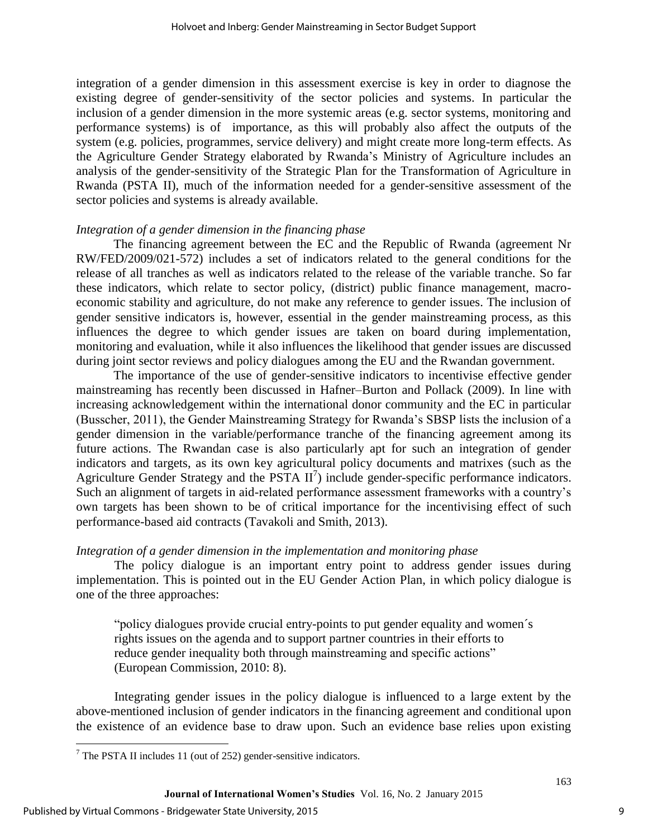integration of a gender dimension in this assessment exercise is key in order to diagnose the existing degree of gender-sensitivity of the sector policies and systems. In particular the inclusion of a gender dimension in the more systemic areas (e.g. sector systems, monitoring and performance systems) is of importance, as this will probably also affect the outputs of the system (e.g. policies, programmes, service delivery) and might create more long-term effects. As the Agriculture Gender Strategy elaborated by Rwanda's Ministry of Agriculture includes an analysis of the gender-sensitivity of the Strategic Plan for the Transformation of Agriculture in Rwanda (PSTA II), much of the information needed for a gender-sensitive assessment of the sector policies and systems is already available.

#### *Integration of a gender dimension in the financing phase*

The financing agreement between the EC and the Republic of Rwanda (agreement Nr RW/FED/2009/021-572) includes a set of indicators related to the general conditions for the release of all tranches as well as indicators related to the release of the variable tranche. So far these indicators, which relate to sector policy, (district) public finance management, macroeconomic stability and agriculture, do not make any reference to gender issues. The inclusion of gender sensitive indicators is, however, essential in the gender mainstreaming process, as this influences the degree to which gender issues are taken on board during implementation, monitoring and evaluation, while it also influences the likelihood that gender issues are discussed during joint sector reviews and policy dialogues among the EU and the Rwandan government.

The importance of the use of gender-sensitive indicators to incentivise effective gender mainstreaming has recently been discussed in Hafner–Burton and Pollack (2009). In line with increasing acknowledgement within the international donor community and the EC in particular (Busscher, 2011), the Gender Mainstreaming Strategy for Rwanda's SBSP lists the inclusion of a gender dimension in the variable/performance tranche of the financing agreement among its future actions. The Rwandan case is also particularly apt for such an integration of gender indicators and targets, as its own key agricultural policy documents and matrixes (such as the Agriculture Gender Strategy and the PSTA  $II^7$ ) include gender-specific performance indicators. Such an alignment of targets in aid-related performance assessment frameworks with a country's own targets has been shown to be of critical importance for the incentivising effect of such performance-based aid contracts (Tavakoli and Smith, 2013).

#### *Integration of a gender dimension in the implementation and monitoring phase*

The policy dialogue is an important entry point to address gender issues during implementation. This is pointed out in the EU Gender Action Plan, in which policy dialogue is one of the three approaches:

"policy dialogues provide crucial entry-points to put gender equality and women´s rights issues on the agenda and to support partner countries in their efforts to reduce gender inequality both through mainstreaming and specific actions" (European Commission, 2010: 8).

Integrating gender issues in the policy dialogue is influenced to a large extent by the above-mentioned inclusion of gender indicators in the financing agreement and conditional upon the existence of an evidence base to draw upon. Such an evidence base relies upon existing

 $\overline{\phantom{a}}$ 

 $<sup>7</sup>$  The PSTA II includes 11 (out of 252) gender-sensitive indicators.</sup>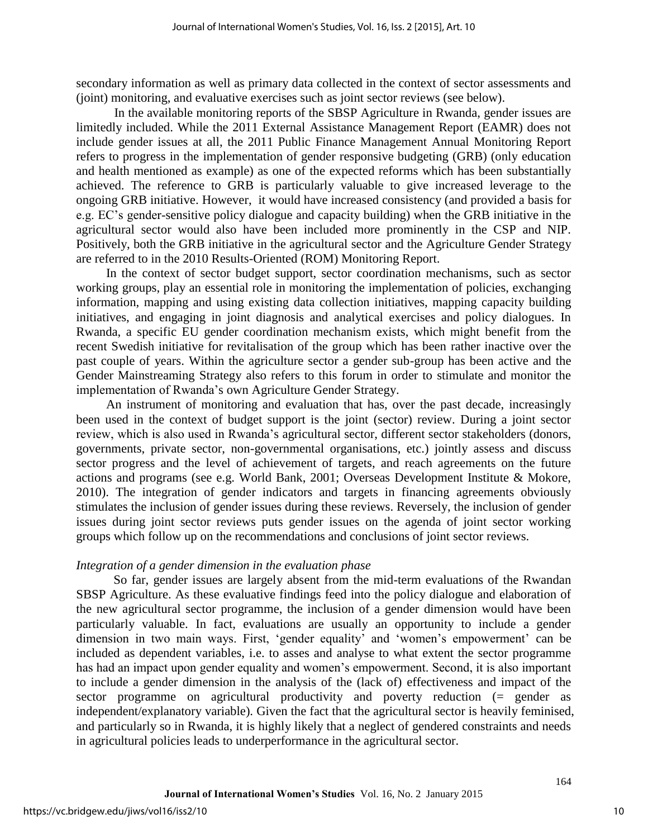secondary information as well as primary data collected in the context of sector assessments and (joint) monitoring, and evaluative exercises such as joint sector reviews (see below).

In the available monitoring reports of the SBSP Agriculture in Rwanda, gender issues are limitedly included. While the 2011 External Assistance Management Report (EAMR) does not include gender issues at all, the 2011 Public Finance Management Annual Monitoring Report refers to progress in the implementation of gender responsive budgeting (GRB) (only education and health mentioned as example) as one of the expected reforms which has been substantially achieved. The reference to GRB is particularly valuable to give increased leverage to the ongoing GRB initiative. However, it would have increased consistency (and provided a basis for e.g. EC's gender-sensitive policy dialogue and capacity building) when the GRB initiative in the agricultural sector would also have been included more prominently in the CSP and NIP. Positively, both the GRB initiative in the agricultural sector and the Agriculture Gender Strategy are referred to in the 2010 Results-Oriented (ROM) Monitoring Report.

In the context of sector budget support, sector coordination mechanisms, such as sector working groups, play an essential role in monitoring the implementation of policies, exchanging information, mapping and using existing data collection initiatives, mapping capacity building initiatives, and engaging in joint diagnosis and analytical exercises and policy dialogues. In Rwanda, a specific EU gender coordination mechanism exists, which might benefit from the recent Swedish initiative for revitalisation of the group which has been rather inactive over the past couple of years. Within the agriculture sector a gender sub-group has been active and the Gender Mainstreaming Strategy also refers to this forum in order to stimulate and monitor the implementation of Rwanda's own Agriculture Gender Strategy.

An instrument of monitoring and evaluation that has, over the past decade, increasingly been used in the context of budget support is the joint (sector) review. During a joint sector review, which is also used in Rwanda's agricultural sector, different sector stakeholders (donors, governments, private sector, non-governmental organisations, etc.) jointly assess and discuss sector progress and the level of achievement of targets, and reach agreements on the future actions and programs (see e.g. World Bank, 2001; Overseas Development Institute & Mokore, 2010). The integration of gender indicators and targets in financing agreements obviously stimulates the inclusion of gender issues during these reviews. Reversely, the inclusion of gender issues during joint sector reviews puts gender issues on the agenda of joint sector working groups which follow up on the recommendations and conclusions of joint sector reviews.

#### *Integration of a gender dimension in the evaluation phase*

So far, gender issues are largely absent from the mid-term evaluations of the Rwandan SBSP Agriculture. As these evaluative findings feed into the policy dialogue and elaboration of the new agricultural sector programme, the inclusion of a gender dimension would have been particularly valuable. In fact, evaluations are usually an opportunity to include a gender dimension in two main ways. First, 'gender equality' and 'women's empowerment' can be included as dependent variables, i.e. to asses and analyse to what extent the sector programme has had an impact upon gender equality and women's empowerment. Second, it is also important to include a gender dimension in the analysis of the (lack of) effectiveness and impact of the sector programme on agricultural productivity and poverty reduction (= gender as independent/explanatory variable). Given the fact that the agricultural sector is heavily feminised, and particularly so in Rwanda, it is highly likely that a neglect of gendered constraints and needs in agricultural policies leads to underperformance in the agricultural sector.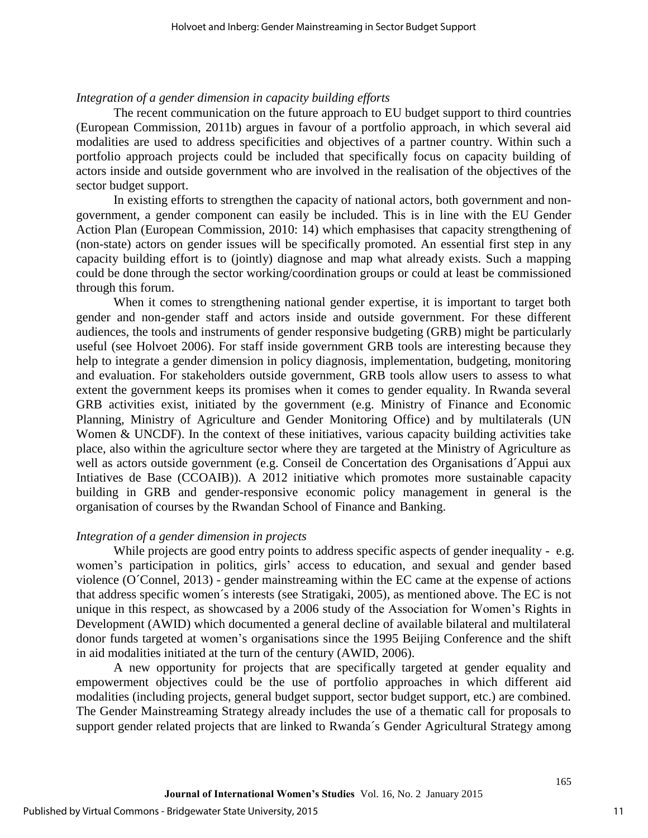#### *Integration of a gender dimension in capacity building efforts*

The recent communication on the future approach to EU budget support to third countries (European Commission, 2011b) argues in favour of a portfolio approach, in which several aid modalities are used to address specificities and objectives of a partner country. Within such a portfolio approach projects could be included that specifically focus on capacity building of actors inside and outside government who are involved in the realisation of the objectives of the sector budget support.

In existing efforts to strengthen the capacity of national actors, both government and nongovernment, a gender component can easily be included. This is in line with the EU Gender Action Plan (European Commission, 2010: 14) which emphasises that capacity strengthening of (non-state) actors on gender issues will be specifically promoted. An essential first step in any capacity building effort is to (jointly) diagnose and map what already exists. Such a mapping could be done through the sector working/coordination groups or could at least be commissioned through this forum.

When it comes to strengthening national gender expertise, it is important to target both gender and non-gender staff and actors inside and outside government. For these different audiences, the tools and instruments of gender responsive budgeting (GRB) might be particularly useful (see Holvoet 2006). For staff inside government GRB tools are interesting because they help to integrate a gender dimension in policy diagnosis, implementation, budgeting, monitoring and evaluation. For stakeholders outside government, GRB tools allow users to assess to what extent the government keeps its promises when it comes to gender equality. In Rwanda several GRB activities exist, initiated by the government (e.g. Ministry of Finance and Economic Planning, Ministry of Agriculture and Gender Monitoring Office) and by multilaterals (UN Women & UNCDF). In the context of these initiatives, various capacity building activities take place, also within the agriculture sector where they are targeted at the Ministry of Agriculture as well as actors outside government (e.g. Conseil de Concertation des Organisations d´Appui aux Intiatives de Base (CCOAIB)). A 2012 initiative which promotes more sustainable capacity building in GRB and gender-responsive economic policy management in general is the organisation of courses by the Rwandan School of Finance and Banking.

### *Integration of a gender dimension in projects*

While projects are good entry points to address specific aspects of gender inequality - e.g. women's participation in politics, girls' access to education, and sexual and gender based violence (O´Connel, 2013) - gender mainstreaming within the EC came at the expense of actions that address specific women´s interests (see Stratigaki, 2005), as mentioned above. The EC is not unique in this respect, as showcased by a 2006 study of the Association for Women's Rights in Development (AWID) which documented a general decline of available bilateral and multilateral donor funds targeted at women's organisations since the 1995 Beijing Conference and the shift in aid modalities initiated at the turn of the century (AWID, 2006).

A new opportunity for projects that are specifically targeted at gender equality and empowerment objectives could be the use of portfolio approaches in which different aid modalities (including projects, general budget support, sector budget support, etc.) are combined. The Gender Mainstreaming Strategy already includes the use of a thematic call for proposals to support gender related projects that are linked to Rwanda´s Gender Agricultural Strategy among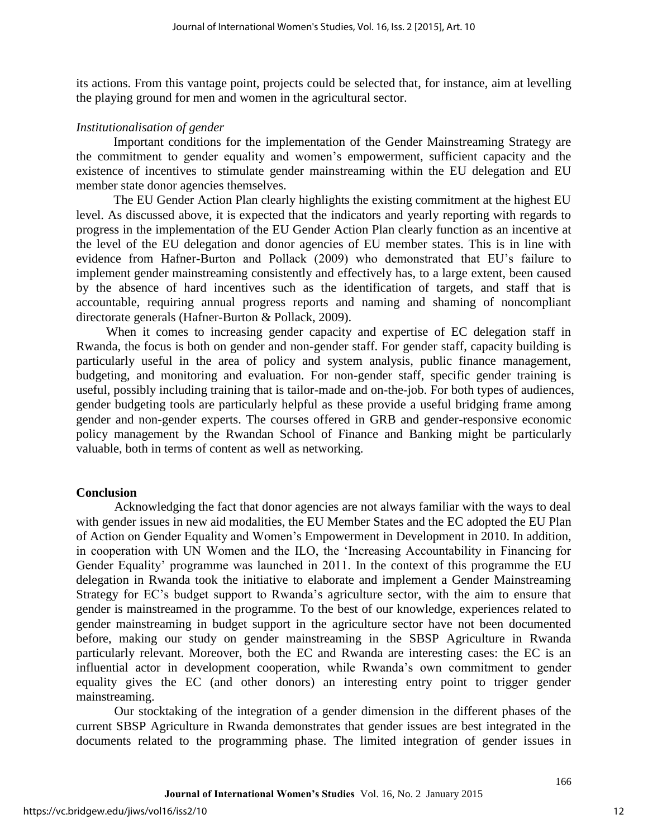its actions. From this vantage point, projects could be selected that, for instance, aim at levelling the playing ground for men and women in the agricultural sector.

#### *Institutionalisation of gender*

Important conditions for the implementation of the Gender Mainstreaming Strategy are the commitment to gender equality and women's empowerment, sufficient capacity and the existence of incentives to stimulate gender mainstreaming within the EU delegation and EU member state donor agencies themselves.

The EU Gender Action Plan clearly highlights the existing commitment at the highest EU level. As discussed above, it is expected that the indicators and yearly reporting with regards to progress in the implementation of the EU Gender Action Plan clearly function as an incentive at the level of the EU delegation and donor agencies of EU member states. This is in line with evidence from Hafner-Burton and Pollack (2009) who demonstrated that EU's failure to implement gender mainstreaming consistently and effectively has, to a large extent, been caused by the absence of hard incentives such as the identification of targets, and staff that is accountable, requiring annual progress reports and naming and shaming of noncompliant directorate generals (Hafner-Burton & Pollack, 2009).

When it comes to increasing gender capacity and expertise of EC delegation staff in Rwanda, the focus is both on gender and non-gender staff. For gender staff, capacity building is particularly useful in the area of policy and system analysis, public finance management, budgeting, and monitoring and evaluation. For non-gender staff, specific gender training is useful, possibly including training that is tailor-made and on-the-job. For both types of audiences, gender budgeting tools are particularly helpful as these provide a useful bridging frame among gender and non-gender experts. The courses offered in GRB and gender-responsive economic policy management by the Rwandan School of Finance and Banking might be particularly valuable, both in terms of content as well as networking.

#### **Conclusion**

Acknowledging the fact that donor agencies are not always familiar with the ways to deal with gender issues in new aid modalities, the EU Member States and the EC adopted the EU Plan of Action on Gender Equality and Women's Empowerment in Development in 2010. In addition, in cooperation with UN Women and the ILO, the 'Increasing Accountability in Financing for Gender Equality' programme was launched in 2011. In the context of this programme the EU delegation in Rwanda took the initiative to elaborate and implement a Gender Mainstreaming Strategy for EC's budget support to Rwanda's agriculture sector, with the aim to ensure that gender is mainstreamed in the programme. To the best of our knowledge, experiences related to gender mainstreaming in budget support in the agriculture sector have not been documented before, making our study on gender mainstreaming in the SBSP Agriculture in Rwanda particularly relevant. Moreover, both the EC and Rwanda are interesting cases: the EC is an influential actor in development cooperation, while Rwanda's own commitment to gender equality gives the EC (and other donors) an interesting entry point to trigger gender mainstreaming.

Our stocktaking of the integration of a gender dimension in the different phases of the current SBSP Agriculture in Rwanda demonstrates that gender issues are best integrated in the documents related to the programming phase. The limited integration of gender issues in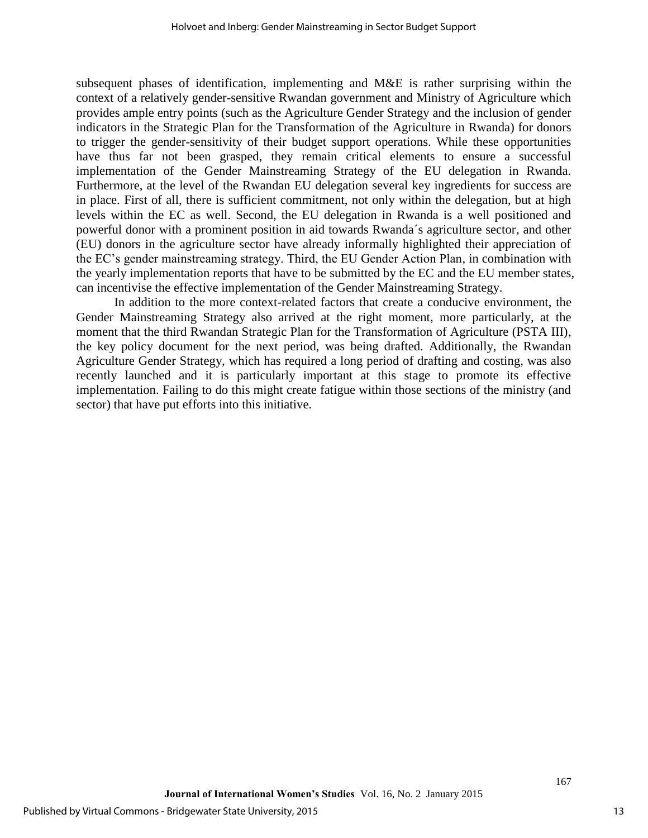subsequent phases of identification, implementing and M&E is rather surprising within the context of a relatively gender-sensitive Rwandan government and Ministry of Agriculture which provides ample entry points (such as the Agriculture Gender Strategy and the inclusion of gender indicators in the Strategic Plan for the Transformation of the Agriculture in Rwanda) for donors to trigger the gender-sensitivity of their budget support operations. While these opportunities have thus far not been grasped, they remain critical elements to ensure a successful implementation of the Gender Mainstreaming Strategy of the EU delegation in Rwanda. Furthermore, at the level of the Rwandan EU delegation several key ingredients for success are in place. First of all, there is sufficient commitment, not only within the delegation, but at high levels within the EC as well. Second, the EU delegation in Rwanda is a well positioned and powerful donor with a prominent position in aid towards Rwanda´s agriculture sector, and other (EU) donors in the agriculture sector have already informally highlighted their appreciation of the EC's gender mainstreaming strategy. Third, the EU Gender Action Plan, in combination with the yearly implementation reports that have to be submitted by the EC and the EU member states, can incentivise the effective implementation of the Gender Mainstreaming Strategy.

In addition to the more context-related factors that create a conducive environment, the Gender Mainstreaming Strategy also arrived at the right moment, more particularly, at the moment that the third Rwandan Strategic Plan for the Transformation of Agriculture (PSTA III), the key policy document for the next period, was being drafted. Additionally, the Rwandan Agriculture Gender Strategy, which has required a long period of drafting and costing, was also recently launched and it is particularly important at this stage to promote its effective implementation. Failing to do this might create fatigue within those sections of the ministry (and sector) that have put efforts into this initiative.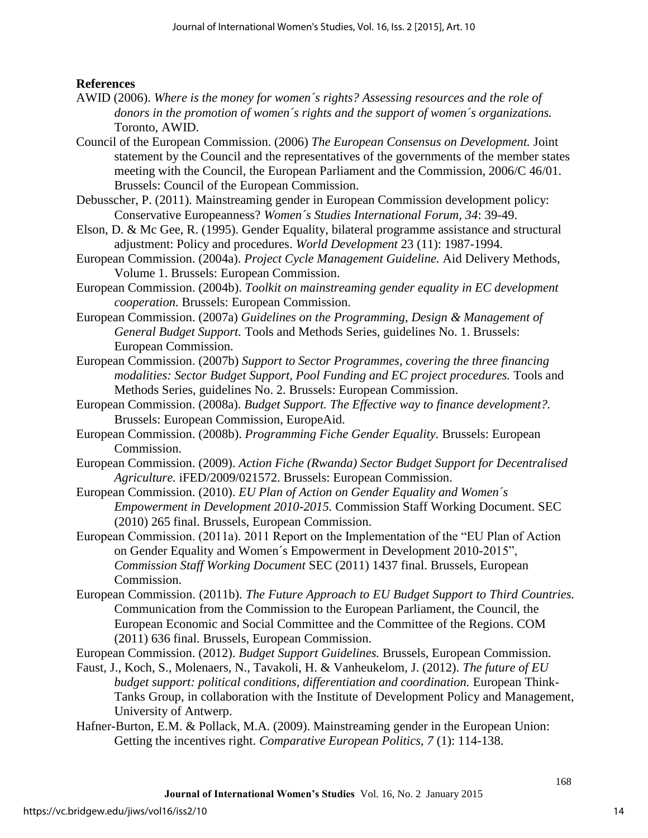#### **References**

- AWID (2006). *Where is the money for women´s rights? Assessing resources and the role of donors in the promotion of women´s rights and the support of women´s organizations.*  Toronto, AWID.
- Council of the European Commission. (2006) *The European Consensus on Development.* Joint statement by the Council and the representatives of the governments of the member states meeting with the Council, the European Parliament and the Commission, 2006/C 46/01. Brussels: Council of the European Commission.
- Debusscher, P. (2011). Mainstreaming gender in European Commission development policy: Conservative Europeanness? *Women´s Studies International Forum, 34*: 39-49.
- Elson, D. & Mc Gee, R. (1995). Gender Equality, bilateral programme assistance and structural adjustment: Policy and procedures. *World Development* 23 (11): 1987-1994.
- European Commission. (2004a). *Project Cycle Management Guideline.* Aid Delivery Methods, Volume 1. Brussels: European Commission.
- European Commission. (2004b). *Toolkit on mainstreaming gender equality in EC development cooperation.* Brussels: European Commission.
- European Commission. (2007a) *Guidelines on the Programming, Design & Management of General Budget Support.* Tools and Methods Series, guidelines No. 1. Brussels: European Commission.
- European Commission. (2007b) *Support to Sector Programmes, covering the three financing modalities: Sector Budget Support, Pool Funding and EC project procedures.* Tools and Methods Series, guidelines No. 2. Brussels: European Commission.
- European Commission. (2008a). *Budget Support. The Effective way to finance development?.*  Brussels: European Commission, EuropeAid.
- European Commission. (2008b). *Programming Fiche Gender Equality.* Brussels: European Commission.
- European Commission. (2009). *Action Fiche (Rwanda) Sector Budget Support for Decentralised Agriculture.* iFED/2009/021572. Brussels: European Commission.
- European Commission. (2010). *EU Plan of Action on Gender Equality and Women´s Empowerment in Development 2010-2015.* Commission Staff Working Document. SEC (2010) 265 final. Brussels, European Commission.
- European Commission. (2011a). 2011 Report on the Implementation of the "EU Plan of Action on Gender Equality and Women´s Empowerment in Development 2010-2015", *Commission Staff Working Document* SEC (2011) 1437 final. Brussels, European Commission.
- European Commission. (2011b). *The Future Approach to EU Budget Support to Third Countries.*  Communication from the Commission to the European Parliament, the Council, the European Economic and Social Committee and the Committee of the Regions. COM (2011) 636 final. Brussels, European Commission.

European Commission. (2012). *Budget Support Guidelines.* Brussels, European Commission.

- Faust, J., Koch, S., Molenaers, N., Tavakoli, H. & Vanheukelom, J. (2012). *The future of EU budget support: political conditions, differentiation and coordination.* European Think-Tanks Group, in collaboration with the Institute of Development Policy and Management, University of Antwerp.
- Hafner-Burton, E.M. & Pollack, M.A. (2009). Mainstreaming gender in the European Union: Getting the incentives right. *Comparative European Politics, 7* (1): 114-138.